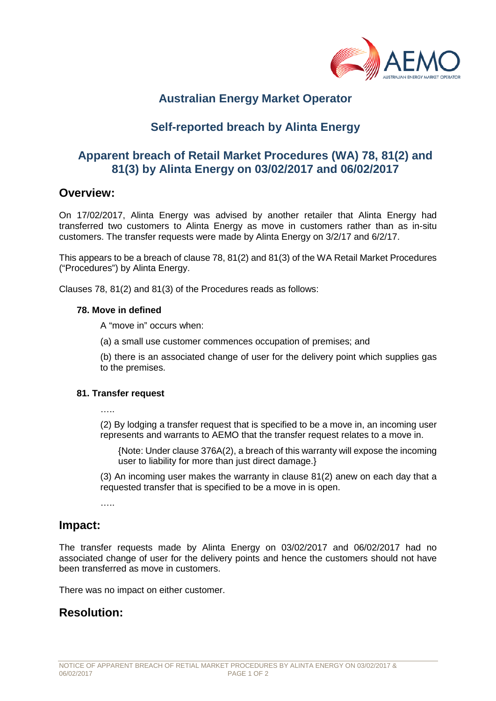

# **Australian Energy Market Operator**

# **Self-reported breach by Alinta Energy**

## **Apparent breach of Retail Market Procedures (WA) 78, 81(2) and 81(3) by Alinta Energy on 03/02/2017 and 06/02/2017**

### **Overview:**

On 17/02/2017, Alinta Energy was advised by another retailer that Alinta Energy had transferred two customers to Alinta Energy as move in customers rather than as in-situ customers. The transfer requests were made by Alinta Energy on 3/2/17 and 6/2/17.

This appears to be a breach of clause 78, 81(2) and 81(3) of the WA Retail Market Procedures ("Procedures") by Alinta Energy.

Clauses 78, 81(2) and 81(3) of the Procedures reads as follows:

#### **78. Move in defined**

A "move in" occurs when:

(a) a small use customer commences occupation of premises; and

(b) there is an associated change of user for the delivery point which supplies gas to the premises.

#### **81. Transfer request**

(2) By lodging a transfer request that is specified to be a move in, an incoming user represents and warrants to AEMO that the transfer request relates to a move in.

{Note: Under clause 376A(2), a breach of this warranty will expose the incoming user to liability for more than just direct damage.}

(3) An incoming user makes the warranty in clause 81(2) anew on each day that a requested transfer that is specified to be a move in is open.

…..

### **Impact:**

The transfer requests made by Alinta Energy on 03/02/2017 and 06/02/2017 had no associated change of user for the delivery points and hence the customers should not have been transferred as move in customers.

There was no impact on either customer.

### **Resolution:**